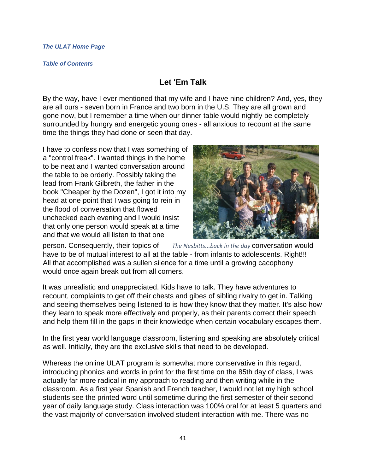## *[The ULAT Home Page](http://www.theulat.com/)*

## *[Table of Contents](http://www.theulat.com/INOTHERWORDS/CONTENTS.PDF)*

## **Let 'Em Talk**

By the way, have I ever mentioned that my wife and I have nine children? And, yes, they are all ours - seven born in France and two born in the U.S. They are all grown and gone now, but I remember a time when our dinner table would nightly be completely surrounded by hungry and energetic young ones - all anxious to recount at the same time the things they had done or seen that day.

I have to confess now that I was something of a "control freak". I wanted things in the home to be neat and I wanted conversation around the table to be orderly. Possibly taking the lead from Frank Gilbreth, the father in the book "Cheaper by the Dozen", I got it into my head at one point that I was going to rein in the flood of conversation that flowed unchecked each evening and I would insist that only one person would speak at a time and that we would all listen to that one



person. Consequently, their topics of *The Nesbitts...back in the day* conversation would have to be of mutual interest to all at the table - from infants to adolescents. Right!!! All that accomplished was a sullen silence for a time until a growing cacophony would once again break out from all corners.

It was unrealistic and unappreciated. Kids have to talk. They have adventures to recount, complaints to get off their chests and gibes of sibling rivalry to get in. Talking and seeing themselves being listened to is how they know that they matter. It's also how they learn to speak more effectively and properly, as their parents correct their speech and help them fill in the gaps in their knowledge when certain vocabulary escapes them.

In the first year world language classroom, listening and speaking are absolutely critical as well. Initially, they are the exclusive skills that need to be developed.

Whereas the online ULAT program is somewhat more conservative in this regard, introducing phonics and words in print for the first time on the 85th day of class, I was actually far more radical in my approach to reading and then writing while in the classroom. As a first year Spanish and French teacher, I would not let my high school students see the printed word until sometime during the first semester of their second year of daily language study. Class interaction was 100% oral for at least 5 quarters and the vast majority of conversation involved student interaction with me. There was no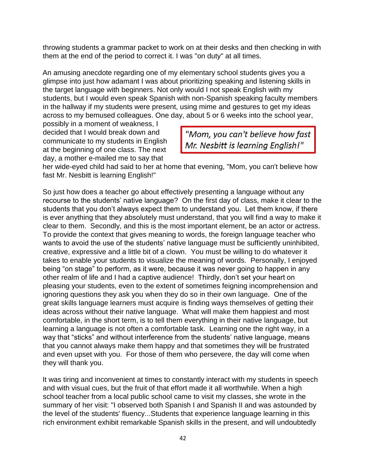throwing students a grammar packet to work on at their desks and then checking in with them at the end of the period to correct it. I was "on duty" at all times.

An amusing anecdote regarding one of my elementary school students gives you a glimpse into just how adamant I was about prioritizing speaking and listening skills in the target language with beginners. Not only would I not speak English with my students, but I would even speak Spanish with non-Spanish speaking faculty members in the hallway if my students were present, using mime and gestures to get my ideas across to my bemused colleagues. One day, about 5 or 6 weeks into the school year,

possibly in a moment of weakness, I decided that I would break down and communicate to my students in English at the beginning of one class. The next day, a mother e-mailed me to say that

"Mom, you can't believe how fast Mr. Nesbitt is learning English!"

her wide-eyed child had said to her at home that evening, "Mom, you can't believe how fast Mr. Nesbitt is learning English!"

So just how does a teacher go about effectively presenting a language without any recourse to the students' native language? On the first day of class, make it clear to the students that you don't always expect them to understand you. Let them know, if there is ever anything that they absolutely must understand, that you will find a way to make it clear to them. Secondly, and this is the most important element, be an actor or actress. To provide the context that gives meaning to words, the foreign language teacher who wants to avoid the use of the students' native language must be sufficiently uninhibited, creative, expressive and a little bit of a clown. You must be willing to do whatever it takes to enable your students to visualize the meaning of words. Personally, I enjoyed being "on stage" to perform, as it were, because it was never going to happen in any other realm of life and I had a captive audience! Thirdly, don't set your heart on pleasing your students, even to the extent of sometimes feigning incomprehension and ignoring questions they ask you when they do so in their own language. One of the great skills language learners must acquire is finding ways themselves of getting their ideas across without their native language. What will make them happiest and most comfortable, in the short term, is to tell them everything in their native language, but learning a language is not often a comfortable task. Learning one the right way, in a way that "sticks" and without interference from the students' native language, means that you cannot always make them happy and that sometimes they will be frustrated and even upset with you. For those of them who persevere, the day will come when they will thank you.

It was tiring and inconvenient at times to constantly interact with my students in speech and with visual cues, but the fruit of that effort made it all worthwhile. When a high school teacher from a local public school came to visit my classes, she wrote in the summary of her visit: "I observed both Spanish I and Spanish II and was astounded by the level of the students' fluency...Students that experience language learning in this rich environment exhibit remarkable Spanish skills in the present, and will undoubtedly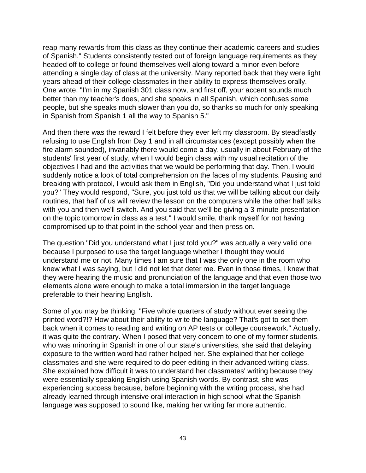reap many rewards from this class as they continue their academic careers and studies of Spanish." Students consistently tested out of foreign language requirements as they headed off to college or found themselves well along toward a minor even before attending a single day of class at the university. Many reported back that they were light years ahead of their college classmates in their ability to express themselves orally. One wrote, "I'm in my Spanish 301 class now, and first off, your accent sounds much better than my teacher's does, and she speaks in all Spanish, which confuses some people, but she speaks much slower than you do, so thanks so much for only speaking in Spanish from Spanish 1 all the way to Spanish 5."

And then there was the reward I felt before they ever left my classroom. By steadfastly refusing to use English from Day 1 and in all circumstances (except possibly when the fire alarm sounded), invariably there would come a day, usually in about February of the students' first year of study, when I would begin class with my usual recitation of the objectives I had and the activities that we would be performing that day. Then, I would suddenly notice a look of total comprehension on the faces of my students. Pausing and breaking with protocol, I would ask them in English, "Did you understand what I just told you?" They would respond, "Sure, you just told us that we will be talking about our daily routines, that half of us will review the lesson on the computers while the other half talks with you and then we'll switch. And you said that we'll be giving a 3-minute presentation on the topic tomorrow in class as a test." I would smile, thank myself for not having compromised up to that point in the school year and then press on.

The question "Did you understand what I just told you?" was actually a very valid one because I purposed to use the target language whether I thought they would understand me or not. Many times I am sure that I was the only one in the room who knew what I was saying, but I did not let that deter me. Even in those times, I knew that they were hearing the music and pronunciation of the language and that even those two elements alone were enough to make a total immersion in the target language preferable to their hearing English.

Some of you may be thinking, "Five whole quarters of study without ever seeing the printed word?!? How about their ability to write the language? That's got to set them back when it comes to reading and writing on AP tests or college coursework." Actually, it was quite the contrary. When I posed that very concern to one of my former students, who was minoring in Spanish in one of our state's universities, she said that delaying exposure to the written word had rather helped her. She explained that her college classmates and she were required to do peer editing in their advanced writing class. She explained how difficult it was to understand her classmates' writing because they were essentially speaking English using Spanish words. By contrast, she was experiencing success because, before beginning with the writing process, she had already learned through intensive oral interaction in high school what the Spanish language was supposed to sound like, making her writing far more authentic.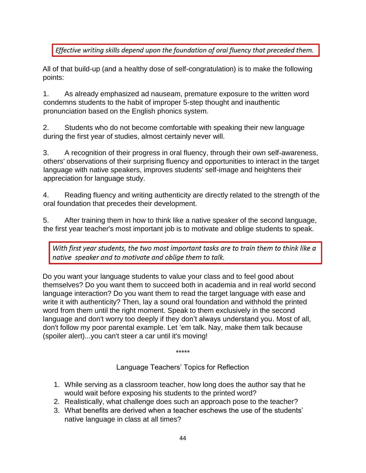Effective writing skills depend upon the foundation of oral fluency that preceded them.

All of that build-up (and a healthy dose of self-congratulation) is to make the following points:

1. As already emphasized ad nauseam, premature exposure to the written word condemns students to the habit of improper 5-step thought and inauthentic pronunciation based on the English phonics system.

2. Students who do not become comfortable with speaking their new language during the first year of studies, almost certainly never will.

3. A recognition of their progress in oral fluency, through their own self-awareness, others' observations of their surprising fluency and opportunities to interact in the target language with native speakers, improves students' self-image and heightens their appreciation for language study.

4. Reading fluency and writing authenticity are directly related to the strength of the oral foundation that precedes their development.

5. After training them in how to think like a native speaker of the second language, the first year teacher's most important job is to motivate and oblige students to speak.

With first year students, the two most important tasks are to train them to think like a native speaker and to motivate and oblige them to talk.

Do you want your language students to value your class and to feel good about themselves? Do you want them to succeed both in academia and in real world second language interaction? Do you want them to read the target language with ease and write it with authenticity? Then, lay a sound oral foundation and withhold the printed word from them until the right moment. Speak to them exclusively in the second language and don't worry too deeply if they don't always understand you. Most of all, don't follow my poor parental example. Let 'em talk. Nay, make them talk because (spoiler alert)...you can't steer a car until it's moving!

\*\*\*\*\*

Language Teachers' Topics for Reflection

- 1. While serving as a classroom teacher, how long does the author say that he would wait before exposing his students to the printed word?
- 2. Realistically, what challenge does such an approach pose to the teacher?
- 3. What benefits are derived when a teacher eschews the use of the students' native language in class at all times?